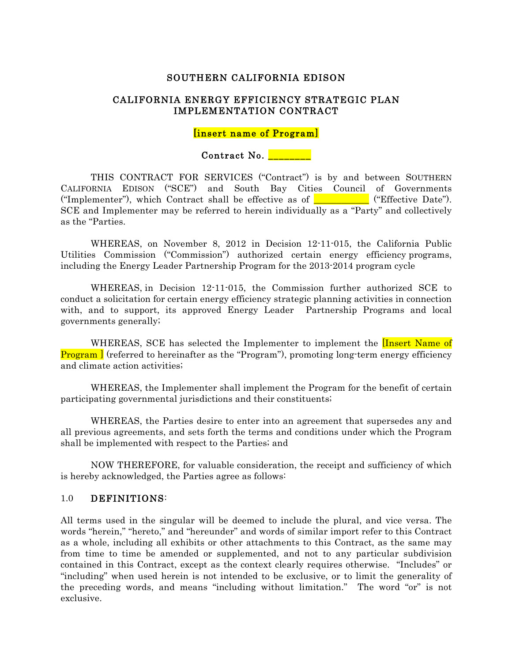## SOUTHERN CALIFORNIA EDISON

## CALIFORNIA ENERGY EFFICIENCY STRATEGIC PLAN IMPLEMENTATION CONTRACT

[insert name of Program]

Contract No. **<u>\_\_\_\_\_\_\_</u>** 

THIS CONTRACT FOR SERVICES ("Contract") is by and between SOUTHERN CALIFORNIA EDISON ("SCE") and South Bay Cities Council of Governments ("Implementer"), which Contract shall be effective as of  $\Box$  ("Effective Date"). SCE and Implementer may be referred to herein individually as a "Party" and collectively as the "Parties.

WHEREAS, on November 8, 2012 in Decision 12-11-015, the California Public Utilities Commission ("Commission") authorized certain energy efficiency programs, including the Energy Leader Partnership Program for the 2013-2014 program cycle

WHEREAS, in Decision 12-11-015, the Commission further authorized SCE to conduct a solicitation for certain energy efficiency strategic planning activities in connection with, and to support, its approved Energy Leader Partnership Programs and local governments generally;

WHEREAS, SCE has selected the Implementer to implement the **[Insert Name of Program** (referred to hereinafter as the "Program"), promoting long-term energy efficiency and climate action activities;

WHEREAS, the Implementer shall implement the Program for the benefit of certain participating governmental jurisdictions and their constituents;

WHEREAS, the Parties desire to enter into an agreement that supersedes any and all previous agreements, and sets forth the terms and conditions under which the Program shall be implemented with respect to the Parties; and

NOW THEREFORE, for valuable consideration, the receipt and sufficiency of which is hereby acknowledged, the Parties agree as follows:

#### 1.0 DEFINITIONS:

All terms used in the singular will be deemed to include the plural, and vice versa. The words "herein," "hereto," and "hereunder" and words of similar import refer to this Contract as a whole, including all exhibits or other attachments to this Contract, as the same may from time to time be amended or supplemented, and not to any particular subdivision contained in this Contract, except as the context clearly requires otherwise. "Includes" or "including" when used herein is not intended to be exclusive, or to limit the generality of the preceding words, and means "including without limitation." The word "or" is not exclusive.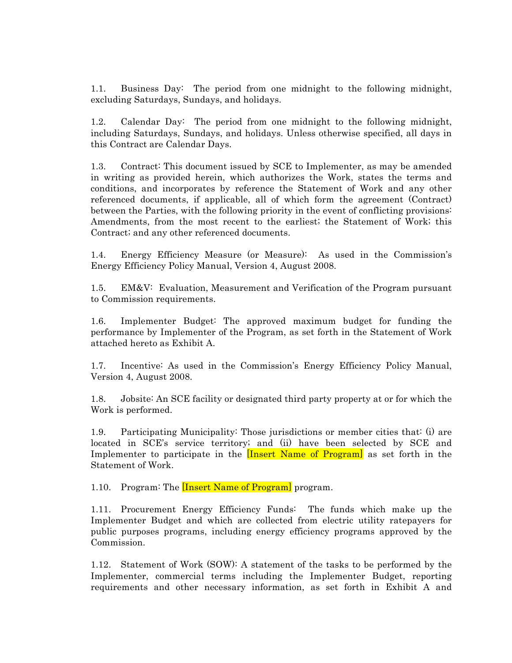1.1. Business Day: The period from one midnight to the following midnight, excluding Saturdays, Sundays, and holidays.

1.2. Calendar Day: The period from one midnight to the following midnight, including Saturdays, Sundays, and holidays. Unless otherwise specified, all days in this Contract are Calendar Days.

1.3. Contract: This document issued by SCE to Implementer, as may be amended in writing as provided herein, which authorizes the Work, states the terms and conditions, and incorporates by reference the Statement of Work and any other referenced documents, if applicable, all of which form the agreement (Contract) between the Parties, with the following priority in the event of conflicting provisions: Amendments, from the most recent to the earliest; the Statement of Work; this Contract; and any other referenced documents.

1.4. Energy Efficiency Measure (or Measure): As used in the Commission's Energy Efficiency Policy Manual, Version 4, August 2008.

1.5. EM&V: Evaluation, Measurement and Verification of the Program pursuant to Commission requirements.

1.6. Implementer Budget: The approved maximum budget for funding the performance by Implementer of the Program, as set forth in the Statement of Work attached hereto as Exhibit A.

1.7. Incentive: As used in the Commission's Energy Efficiency Policy Manual, Version 4, August 2008.

1.8. Jobsite: An SCE facility or designated third party property at or for which the Work is performed.

1.9. Participating Municipality: Those jurisdictions or member cities that: (i) are located in SCE's service territory; and (ii) have been selected by SCE and Implementer to participate in the **Insert Name of Program** as set forth in the Statement of Work.

1.10. Program: The *[Insert Name of Program]* program.

1.11. Procurement Energy Efficiency Funds: The funds which make up the Implementer Budget and which are collected from electric utility ratepayers for public purposes programs, including energy efficiency programs approved by the Commission.

1.12. Statement of Work (SOW): A statement of the tasks to be performed by the Implementer, commercial terms including the Implementer Budget, reporting requirements and other necessary information, as set forth in Exhibit A and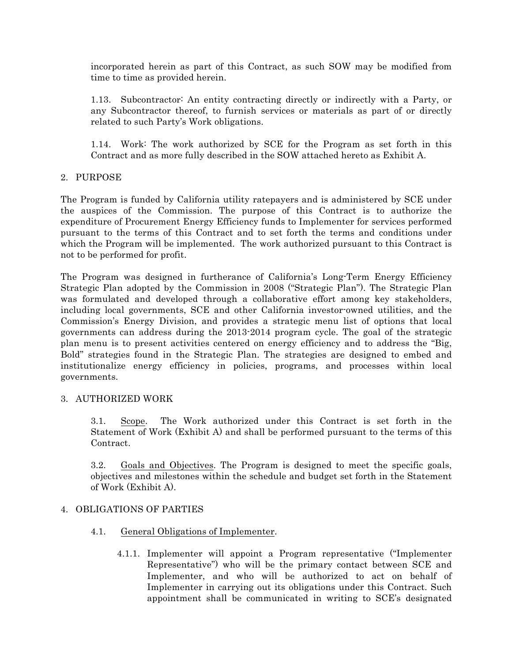incorporated herein as part of this Contract, as such SOW may be modified from time to time as provided herein.

1.13. Subcontractor: An entity contracting directly or indirectly with a Party, or any Subcontractor thereof, to furnish services or materials as part of or directly related to such Party's Work obligations.

1.14. Work: The work authorized by SCE for the Program as set forth in this Contract and as more fully described in the SOW attached hereto as Exhibit A.

#### 2. PURPOSE

The Program is funded by California utility ratepayers and is administered by SCE under the auspices of the Commission. The purpose of this Contract is to authorize the expenditure of Procurement Energy Efficiency funds to Implementer for services performed pursuant to the terms of this Contract and to set forth the terms and conditions under which the Program will be implemented. The work authorized pursuant to this Contract is not to be performed for profit.

The Program was designed in furtherance of California's Long-Term Energy Efficiency Strategic Plan adopted by the Commission in 2008 ("Strategic Plan"). The Strategic Plan was formulated and developed through a collaborative effort among key stakeholders, including local governments, SCE and other California investor-owned utilities, and the Commission's Energy Division, and provides a strategic menu list of options that local governments can address during the 2013-2014 program cycle. The goal of the strategic plan menu is to present activities centered on energy efficiency and to address the "Big, Bold" strategies found in the Strategic Plan. The strategies are designed to embed and institutionalize energy efficiency in policies, programs, and processes within local governments.

#### 3. AUTHORIZED WORK

3.1. Scope. The Work authorized under this Contract is set forth in the Statement of Work (Exhibit A) and shall be performed pursuant to the terms of this Contract.

3.2. Goals and Objectives. The Program is designed to meet the specific goals, objectives and milestones within the schedule and budget set forth in the Statement of Work (Exhibit A).

## 4. OBLIGATIONS OF PARTIES

- 4.1. General Obligations of Implementer.
	- 4.1.1. Implementer will appoint a Program representative ("Implementer Representative") who will be the primary contact between SCE and Implementer, and who will be authorized to act on behalf of Implementer in carrying out its obligations under this Contract. Such appointment shall be communicated in writing to SCE's designated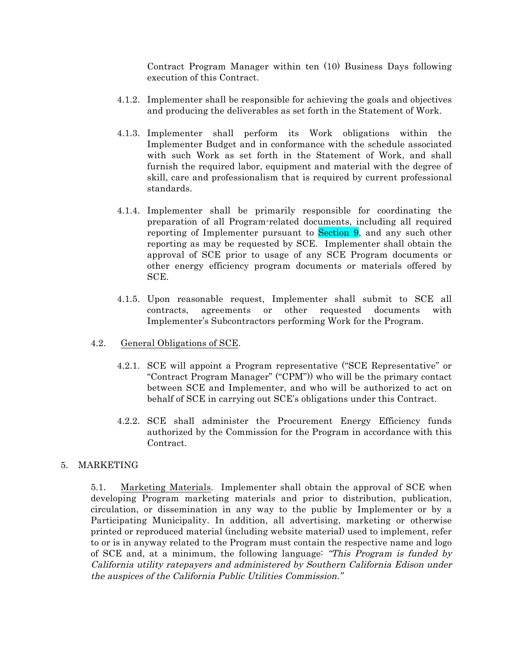Contract Program Manager within ten (10) Business Days following execution of this Contract.

- 4.1.2. Implementer shall be responsible for achieving the goals and objectives and producing the deliverables as set forth in the Statement of Work.
- 4.1.3. Implementer shall perform its Work obligations within the Implementer Budget and in conformance with the schedule associated with such Work as set forth in the Statement of Work, and shall furnish the required labor, equipment and material with the degree of skill, care and professionalism that is required by current professional standards.
- 4.1.4. Implementer shall be primarily responsible for coordinating the preparation of all Program-related documents, including all required reporting of Implementer pursuant to Section 9, and any such other reporting as may be requested by SCE. Implementer shall obtain the approval of SCE prior to usage of any SCE Program documents or other energy efficiency program documents or materials offered by SCE.
- 4.1.5. Upon reasonable request, Implementer shall submit to SCE all contracts, agreements or other requested documents with Implementer's Subcontractors performing Work for the Program.
- 4.2. General Obligations of SCE.
	- 4.2.1. SCE will appoint a Program representative ("SCE Representative" or "Contract Program Manager" ("CPM")) who will be the primary contact between SCE and Implementer, and who will be authorized to act on behalf of SCE in carrying out SCE's obligations under this Contract.
	- 4.2.2. SCE shall administer the Procurement Energy Efficiency funds authorized by the Commission for the Program in accordance with this Contract.

## 5. MARKETING

5.1. Marketing Materials. Implementer shall obtain the approval of SCE when developing Program marketing materials and prior to distribution, publication, circulation, or dissemination in any way to the public by Implementer or by a Participating Municipality. In addition, all advertising, marketing or otherwise printed or reproduced material (including website material) used to implement, refer to or is in anyway related to the Program must contain the respective name and logo of SCE and, at a minimum, the following language: "This Program is funded by California utility ratepayers and administered by Southern California Edison under the auspices of the California Public Utilities Commission."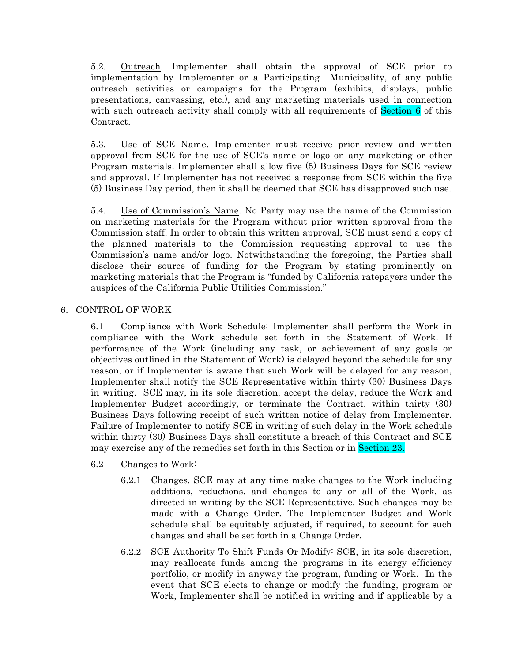5.2. Outreach. Implementer shall obtain the approval of SCE prior to implementation by Implementer or a Participating Municipality, of any public outreach activities or campaigns for the Program (exhibits, displays, public presentations, canvassing, etc.), and any marketing materials used in connection with such outreach activity shall comply with all requirements of Section 6 of this Contract.

5.3. Use of SCE Name. Implementer must receive prior review and written approval from SCE for the use of SCE's name or logo on any marketing or other Program materials. Implementer shall allow five (5) Business Days for SCE review and approval. If Implementer has not received a response from SCE within the five (5) Business Day period, then it shall be deemed that SCE has disapproved such use.

5.4. Use of Commission's Name. No Party may use the name of the Commission on marketing materials for the Program without prior written approval from the Commission staff. In order to obtain this written approval, SCE must send a copy of the planned materials to the Commission requesting approval to use the Commission's name and/or logo. Notwithstanding the foregoing, the Parties shall disclose their source of funding for the Program by stating prominently on marketing materials that the Program is "funded by California ratepayers under the auspices of the California Public Utilities Commission."

## 6. CONTROL OF WORK

6.1 Compliance with Work Schedule: Implementer shall perform the Work in compliance with the Work schedule set forth in the Statement of Work. If performance of the Work (including any task, or achievement of any goals or objectives outlined in the Statement of Work) is delayed beyond the schedule for any reason, or if Implementer is aware that such Work will be delayed for any reason, Implementer shall notify the SCE Representative within thirty (30) Business Days in writing. SCE may, in its sole discretion, accept the delay, reduce the Work and Implementer Budget accordingly, or terminate the Contract, within thirty (30) Business Days following receipt of such written notice of delay from Implementer. Failure of Implementer to notify SCE in writing of such delay in the Work schedule within thirty (30) Business Days shall constitute a breach of this Contract and SCE may exercise any of the remedies set forth in this Section or in Section 23.

- 6.2 Changes to Work:
	- 6.2.1 Changes. SCE may at any time make changes to the Work including additions, reductions, and changes to any or all of the Work, as directed in writing by the SCE Representative. Such changes may be made with a Change Order. The Implementer Budget and Work schedule shall be equitably adjusted, if required, to account for such changes and shall be set forth in a Change Order.
	- 6.2.2 SCE Authority To Shift Funds Or Modify: SCE, in its sole discretion, may reallocate funds among the programs in its energy efficiency portfolio, or modify in anyway the program, funding or Work. In the event that SCE elects to change or modify the funding, program or Work, Implementer shall be notified in writing and if applicable by a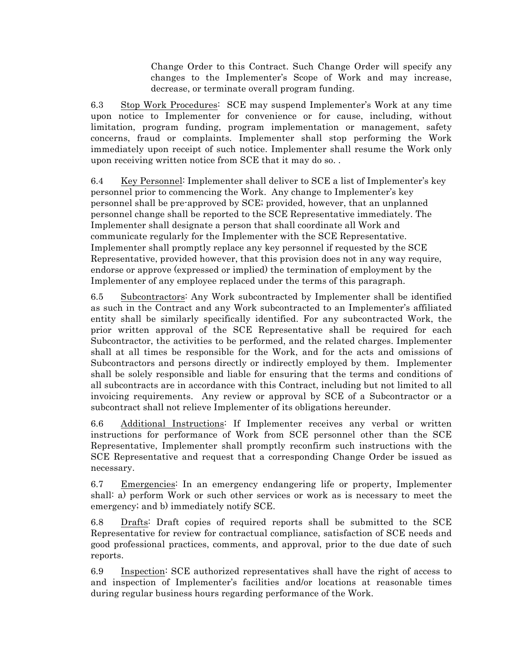Change Order to this Contract. Such Change Order will specify any changes to the Implementer's Scope of Work and may increase, decrease, or terminate overall program funding.

6.3 Stop Work Procedures: SCE may suspend Implementer's Work at any time upon notice to Implementer for convenience or for cause, including, without limitation, program funding, program implementation or management, safety concerns, fraud or complaints. Implementer shall stop performing the Work immediately upon receipt of such notice. Implementer shall resume the Work only upon receiving written notice from SCE that it may do so. .

6.4 Key Personnel: Implementer shall deliver to SCE a list of Implementer's key personnel prior to commencing the Work. Any change to Implementer's key personnel shall be pre-approved by SCE; provided, however, that an unplanned personnel change shall be reported to the SCE Representative immediately. The Implementer shall designate a person that shall coordinate all Work and communicate regularly for the Implementer with the SCE Representative. Implementer shall promptly replace any key personnel if requested by the SCE Representative, provided however, that this provision does not in any way require, endorse or approve (expressed or implied) the termination of employment by the Implementer of any employee replaced under the terms of this paragraph.

6.5 Subcontractors: Any Work subcontracted by Implementer shall be identified as such in the Contract and any Work subcontracted to an Implementer's affiliated entity shall be similarly specifically identified. For any subcontracted Work, the prior written approval of the SCE Representative shall be required for each Subcontractor, the activities to be performed, and the related charges. Implementer shall at all times be responsible for the Work, and for the acts and omissions of Subcontractors and persons directly or indirectly employed by them. Implementer shall be solely responsible and liable for ensuring that the terms and conditions of all subcontracts are in accordance with this Contract, including but not limited to all invoicing requirements. Any review or approval by SCE of a Subcontractor or a subcontract shall not relieve Implementer of its obligations hereunder.

6.6 Additional Instructions: If Implementer receives any verbal or written instructions for performance of Work from SCE personnel other than the SCE Representative, Implementer shall promptly reconfirm such instructions with the SCE Representative and request that a corresponding Change Order be issued as necessary.

6.7 Emergencies: In an emergency endangering life or property, Implementer shall: a) perform Work or such other services or work as is necessary to meet the emergency; and b) immediately notify SCE.

6.8 Drafts: Draft copies of required reports shall be submitted to the SCE Representative for review for contractual compliance, satisfaction of SCE needs and good professional practices, comments, and approval, prior to the due date of such reports.

6.9 Inspection: SCE authorized representatives shall have the right of access to and inspection of Implementer's facilities and/or locations at reasonable times during regular business hours regarding performance of the Work.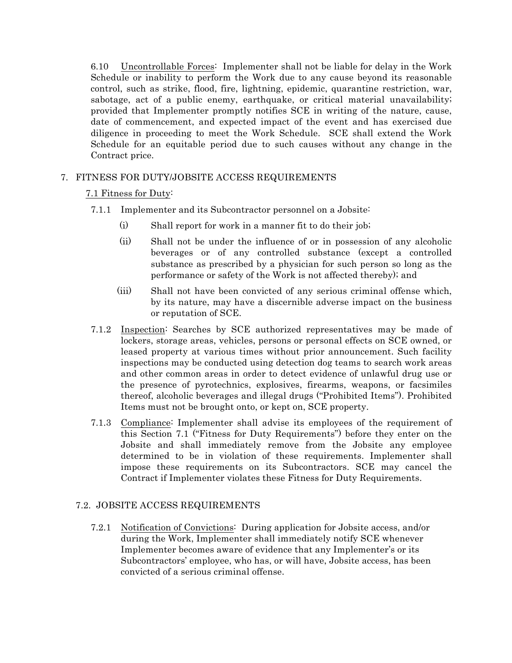6.10 Uncontrollable Forces: Implementer shall not be liable for delay in the Work Schedule or inability to perform the Work due to any cause beyond its reasonable control, such as strike, flood, fire, lightning, epidemic, quarantine restriction, war, sabotage, act of a public enemy, earthquake, or critical material unavailability; provided that Implementer promptly notifies SCE in writing of the nature, cause, date of commencement, and expected impact of the event and has exercised due diligence in proceeding to meet the Work Schedule. SCE shall extend the Work Schedule for an equitable period due to such causes without any change in the Contract price.

## 7. FITNESS FOR DUTY/JOBSITE ACCESS REQUIREMENTS

#### 7.1 Fitness for Duty:

- 7.1.1 Implementer and its Subcontractor personnel on a Jobsite:
	- (i) Shall report for work in a manner fit to do their job;
	- (ii) Shall not be under the influence of or in possession of any alcoholic beverages or of any controlled substance (except a controlled substance as prescribed by a physician for such person so long as the performance or safety of the Work is not affected thereby); and
	- (iii) Shall not have been convicted of any serious criminal offense which, by its nature, may have a discernible adverse impact on the business or reputation of SCE.
- 7.1.2 Inspection: Searches by SCE authorized representatives may be made of lockers, storage areas, vehicles, persons or personal effects on SCE owned, or leased property at various times without prior announcement. Such facility inspections may be conducted using detection dog teams to search work areas and other common areas in order to detect evidence of unlawful drug use or the presence of pyrotechnics, explosives, firearms, weapons, or facsimiles thereof, alcoholic beverages and illegal drugs ("Prohibited Items"). Prohibited Items must not be brought onto, or kept on, SCE property.
- 7.1.3 Compliance: Implementer shall advise its employees of the requirement of this Section 7.1 ("Fitness for Duty Requirements") before they enter on the Jobsite and shall immediately remove from the Jobsite any employee determined to be in violation of these requirements. Implementer shall impose these requirements on its Subcontractors. SCE may cancel the Contract if Implementer violates these Fitness for Duty Requirements.

#### 7.2. JOBSITE ACCESS REQUIREMENTS

7.2.1 Notification of Convictions: During application for Jobsite access, and/or during the Work, Implementer shall immediately notify SCE whenever Implementer becomes aware of evidence that any Implementer's or its Subcontractors' employee, who has, or will have, Jobsite access, has been convicted of a serious criminal offense.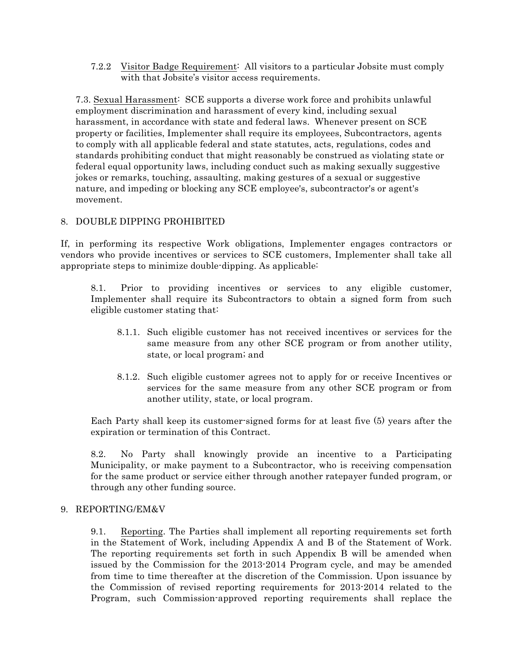7.2.2 Visitor Badge Requirement: All visitors to a particular Jobsite must comply with that Jobsite's visitor access requirements.

7.3. Sexual Harassment: SCE supports a diverse work force and prohibits unlawful employment discrimination and harassment of every kind, including sexual harassment, in accordance with state and federal laws. Whenever present on SCE property or facilities, Implementer shall require its employees, Subcontractors, agents to comply with all applicable federal and state statutes, acts, regulations, codes and standards prohibiting conduct that might reasonably be construed as violating state or federal equal opportunity laws, including conduct such as making sexually suggestive jokes or remarks, touching, assaulting, making gestures of a sexual or suggestive nature, and impeding or blocking any SCE employee's, subcontractor's or agent's movement.

#### 8. DOUBLE DIPPING PROHIBITED

If, in performing its respective Work obligations, Implementer engages contractors or vendors who provide incentives or services to SCE customers, Implementer shall take all appropriate steps to minimize double-dipping. As applicable:

8.1. Prior to providing incentives or services to any eligible customer, Implementer shall require its Subcontractors to obtain a signed form from such eligible customer stating that:

- 8.1.1. Such eligible customer has not received incentives or services for the same measure from any other SCE program or from another utility, state, or local program; and
- 8.1.2. Such eligible customer agrees not to apply for or receive Incentives or services for the same measure from any other SCE program or from another utility, state, or local program.

Each Party shall keep its customer-signed forms for at least five (5) years after the expiration or termination of this Contract.

8.2. No Party shall knowingly provide an incentive to a Participating Municipality, or make payment to a Subcontractor, who is receiving compensation for the same product or service either through another ratepayer funded program, or through any other funding source.

#### 9. REPORTING/EM&V

9.1. Reporting. The Parties shall implement all reporting requirements set forth in the Statement of Work, including Appendix A and B of the Statement of Work. The reporting requirements set forth in such Appendix B will be amended when issued by the Commission for the 2013-2014 Program cycle, and may be amended from time to time thereafter at the discretion of the Commission. Upon issuance by the Commission of revised reporting requirements for 2013-2014 related to the Program, such Commission-approved reporting requirements shall replace the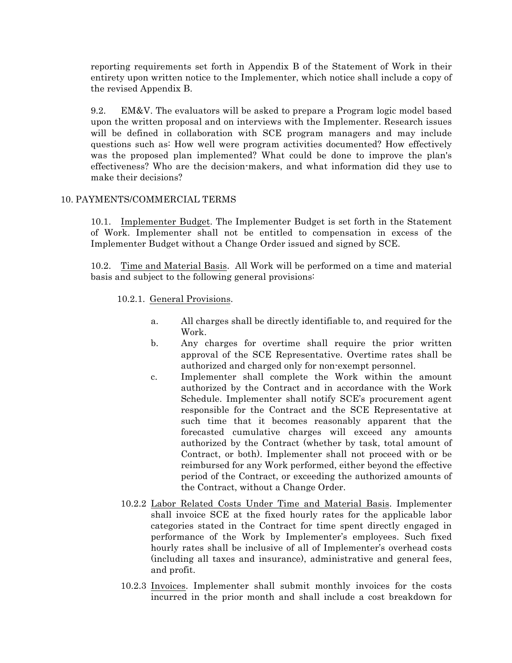reporting requirements set forth in Appendix B of the Statement of Work in their entirety upon written notice to the Implementer, which notice shall include a copy of the revised Appendix B.

9.2. EM&V. The evaluators will be asked to prepare a Program logic model based upon the written proposal and on interviews with the Implementer. Research issues will be defined in collaboration with SCE program managers and may include questions such as: How well were program activities documented? How effectively was the proposed plan implemented? What could be done to improve the plan's effectiveness? Who are the decision-makers, and what information did they use to make their decisions?

## 10. PAYMENTS/COMMERCIAL TERMS

10.1. Implementer Budget. The Implementer Budget is set forth in the Statement of Work. Implementer shall not be entitled to compensation in excess of the Implementer Budget without a Change Order issued and signed by SCE.

10.2. Time and Material Basis. All Work will be performed on a time and material basis and subject to the following general provisions:

10.2.1. General Provisions.

- a. All charges shall be directly identifiable to, and required for the Work.
- b. Any charges for overtime shall require the prior written approval of the SCE Representative. Overtime rates shall be authorized and charged only for non-exempt personnel.
- c. Implementer shall complete the Work within the amount authorized by the Contract and in accordance with the Work Schedule. Implementer shall notify SCE's procurement agent responsible for the Contract and the SCE Representative at such time that it becomes reasonably apparent that the forecasted cumulative charges will exceed any amounts authorized by the Contract (whether by task, total amount of Contract, or both). Implementer shall not proceed with or be reimbursed for any Work performed, either beyond the effective period of the Contract, or exceeding the authorized amounts of the Contract, without a Change Order.
- 10.2.2 Labor Related Costs Under Time and Material Basis. Implementer shall invoice SCE at the fixed hourly rates for the applicable labor categories stated in the Contract for time spent directly engaged in performance of the Work by Implementer's employees. Such fixed hourly rates shall be inclusive of all of Implementer's overhead costs (including all taxes and insurance), administrative and general fees, and profit.
- 10.2.3 Invoices. Implementer shall submit monthly invoices for the costs incurred in the prior month and shall include a cost breakdown for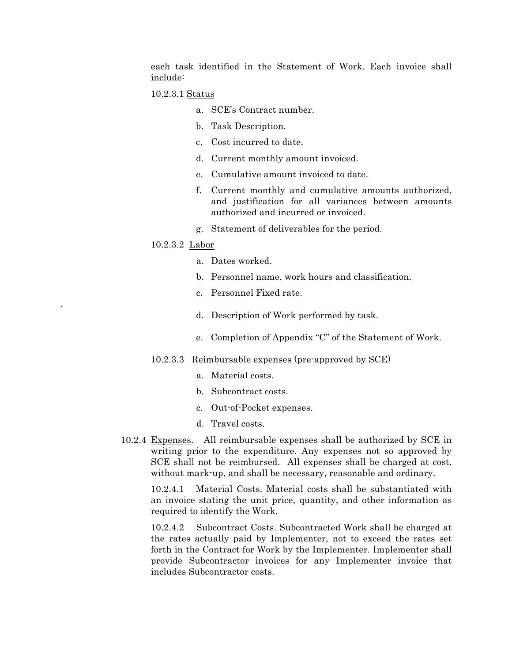each task identified in the Statement of Work. Each invoice shall include:

#### 10.2.3.1 Status

- a. SCE's Contract number.
- b. Task Description.
- c. Cost incurred to date.
- d. Current monthly amount invoiced.
- e. Cumulative amount invoiced to date.
- f. Current monthly and cumulative amounts authorized, and justification for all variances between amounts authorized and incurred or invoiced.
- g. Statement of deliverables for the period.

#### 10.2.3.2 Labor

.

- a. Dates worked.
- b. Personnel name, work hours and classification.
- c. Personnel Fixed rate.
- d. Description of Work performed by task.
- e. Completion of Appendix "C" of the Statement of Work.

### 10.2.3.3 Reimbursable expenses (pre-approved by SCE)

- a. Material costs.
- b. Subcontract costs.
- c. Out-of-Pocket expenses.
- d. Travel costs.
- 10.2.4 Expenses. All reimbursable expenses shall be authorized by SCE in writing prior to the expenditure. Any expenses not so approved by SCE shall not be reimbursed. All expenses shall be charged at cost, without mark-up, and shall be necessary, reasonable and ordinary.

10.2.4.1 Material Costs. Material costs shall be substantiated with an invoice stating the unit price, quantity, and other information as required to identify the Work.

10.2.4.2 Subcontract Costs. Subcontracted Work shall be charged at the rates actually paid by Implementer, not to exceed the rates set forth in the Contract for Work by the Implementer. Implementer shall provide Subcontractor invoices for any Implementer invoice that includes Subcontractor costs.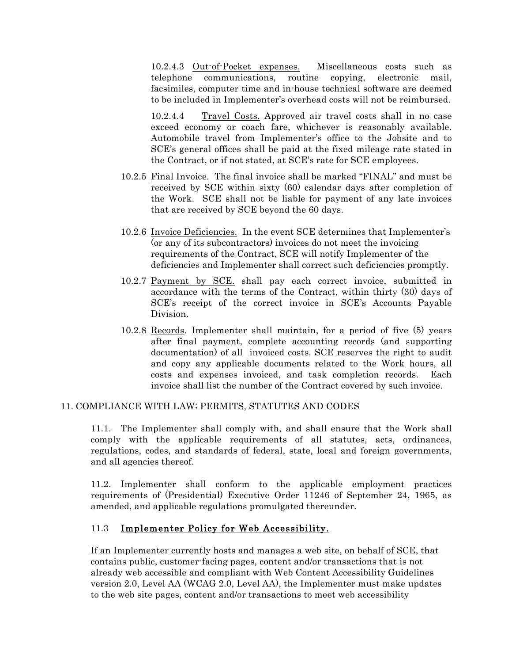10.2.4.3 Out-of-Pocket expenses. Miscellaneous costs such as telephone communications, routine copying, electronic mail, facsimiles, computer time and in-house technical software are deemed to be included in Implementer's overhead costs will not be reimbursed.

10.2.4.4 Travel Costs. Approved air travel costs shall in no case exceed economy or coach fare, whichever is reasonably available. Automobile travel from Implementer's office to the Jobsite and to SCE's general offices shall be paid at the fixed mileage rate stated in the Contract, or if not stated, at SCE's rate for SCE employees.

- 10.2.5 Final Invoice. The final invoice shall be marked "FINAL" and must be received by SCE within sixty (60) calendar days after completion of the Work. SCE shall not be liable for payment of any late invoices that are received by SCE beyond the 60 days.
- 10.2.6 Invoice Deficiencies. In the event SCE determines that Implementer's (or any of its subcontractors) invoices do not meet the invoicing requirements of the Contract, SCE will notify Implementer of the deficiencies and Implementer shall correct such deficiencies promptly.
- 10.2.7 Payment by SCE. shall pay each correct invoice, submitted in accordance with the terms of the Contract, within thirty (30) days of SCE's receipt of the correct invoice in SCE's Accounts Payable Division.
- 10.2.8 Records. Implementer shall maintain, for a period of five (5) years after final payment, complete accounting records (and supporting documentation) of all invoiced costs. SCE reserves the right to audit and copy any applicable documents related to the Work hours, all costs and expenses invoiced, and task completion records. Each invoice shall list the number of the Contract covered by such invoice.

## 11. COMPLIANCE WITH LAW; PERMITS, STATUTES AND CODES

11.1. The Implementer shall comply with, and shall ensure that the Work shall comply with the applicable requirements of all statutes, acts, ordinances, regulations, codes, and standards of federal, state, local and foreign governments, and all agencies thereof.

11.2. Implementer shall conform to the applicable employment practices requirements of (Presidential) Executive Order 11246 of September 24, 1965, as amended, and applicable regulations promulgated thereunder.

## 11.3 Implementer Policy for Web Accessibility.

If an Implementer currently hosts and manages a web site, on behalf of SCE, that contains public, customer-facing pages, content and/or transactions that is not already web accessible and compliant with Web Content Accessibility Guidelines version 2.0, Level AA (WCAG 2.0, Level AA), the Implementer must make updates to the web site pages, content and/or transactions to meet web accessibility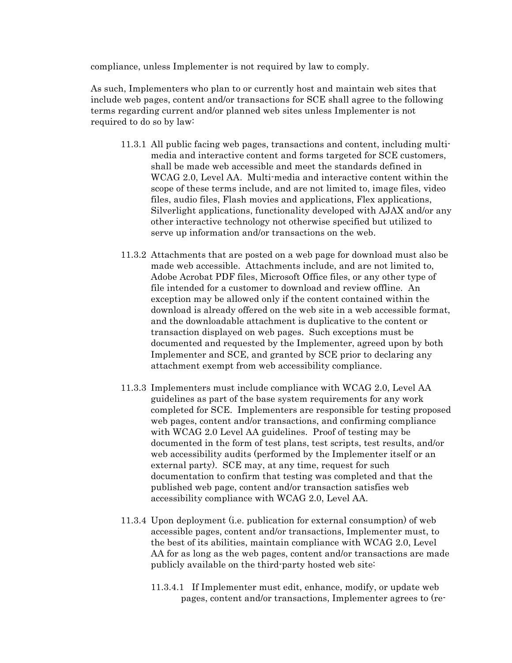compliance, unless Implementer is not required by law to comply.

As such, Implementers who plan to or currently host and maintain web sites that include web pages, content and/or transactions for SCE shall agree to the following terms regarding current and/or planned web sites unless Implementer is not required to do so by law:

- 11.3.1 All public facing web pages, transactions and content, including multimedia and interactive content and forms targeted for SCE customers, shall be made web accessible and meet the standards defined in WCAG 2.0, Level AA. Multi-media and interactive content within the scope of these terms include, and are not limited to, image files, video files, audio files, Flash movies and applications, Flex applications, Silverlight applications, functionality developed with AJAX and/or any other interactive technology not otherwise specified but utilized to serve up information and/or transactions on the web.
- 11.3.2 Attachments that are posted on a web page for download must also be made web accessible. Attachments include, and are not limited to, Adobe Acrobat PDF files, Microsoft Office files, or any other type of file intended for a customer to download and review offline. An exception may be allowed only if the content contained within the download is already offered on the web site in a web accessible format, and the downloadable attachment is duplicative to the content or transaction displayed on web pages. Such exceptions must be documented and requested by the Implementer, agreed upon by both Implementer and SCE, and granted by SCE prior to declaring any attachment exempt from web accessibility compliance.
- 11.3.3 Implementers must include compliance with WCAG 2.0, Level AA guidelines as part of the base system requirements for any work completed for SCE. Implementers are responsible for testing proposed web pages, content and/or transactions, and confirming compliance with WCAG 2.0 Level AA guidelines. Proof of testing may be documented in the form of test plans, test scripts, test results, and/or web accessibility audits (performed by the Implementer itself or an external party). SCE may, at any time, request for such documentation to confirm that testing was completed and that the published web page, content and/or transaction satisfies web accessibility compliance with WCAG 2.0, Level AA.
- 11.3.4 Upon deployment (i.e. publication for external consumption) of web accessible pages, content and/or transactions, Implementer must, to the best of its abilities, maintain compliance with WCAG 2.0, Level AA for as long as the web pages, content and/or transactions are made publicly available on the third-party hosted web site:
	- 11.3.4.1 If Implementer must edit, enhance, modify, or update web pages, content and/or transactions, Implementer agrees to (re-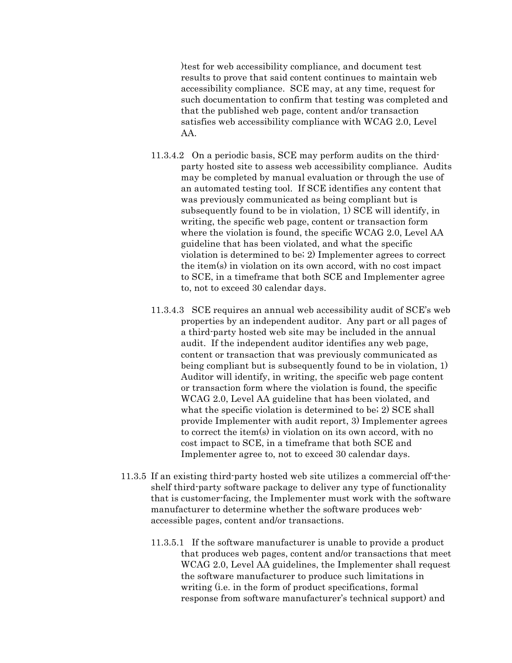)test for web accessibility compliance, and document test results to prove that said content continues to maintain web accessibility compliance. SCE may, at any time, request for such documentation to confirm that testing was completed and that the published web page, content and/or transaction satisfies web accessibility compliance with WCAG 2.0, Level AA.

- 11.3.4.2 On a periodic basis, SCE may perform audits on the thirdparty hosted site to assess web accessibility compliance. Audits may be completed by manual evaluation or through the use of an automated testing tool. If SCE identifies any content that was previously communicated as being compliant but is subsequently found to be in violation, 1) SCE will identify, in writing, the specific web page, content or transaction form where the violation is found, the specific WCAG 2.0, Level AA guideline that has been violated, and what the specific violation is determined to be; 2) Implementer agrees to correct the item(s) in violation on its own accord, with no cost impact to SCE, in a timeframe that both SCE and Implementer agree to, not to exceed 30 calendar days.
- 11.3.4.3 SCE requires an annual web accessibility audit of SCE's web properties by an independent auditor. Any part or all pages of a third-party hosted web site may be included in the annual audit. If the independent auditor identifies any web page, content or transaction that was previously communicated as being compliant but is subsequently found to be in violation, 1) Auditor will identify, in writing, the specific web page content or transaction form where the violation is found, the specific WCAG 2.0, Level AA guideline that has been violated, and what the specific violation is determined to be; 2) SCE shall provide Implementer with audit report, 3) Implementer agrees to correct the item(s) in violation on its own accord, with no cost impact to SCE, in a timeframe that both SCE and Implementer agree to, not to exceed 30 calendar days.
- 11.3.5 If an existing third-party hosted web site utilizes a commercial off-theshelf third-party software package to deliver any type of functionality that is customer-facing, the Implementer must work with the software manufacturer to determine whether the software produces webaccessible pages, content and/or transactions.
	- 11.3.5.1 If the software manufacturer is unable to provide a product that produces web pages, content and/or transactions that meet WCAG 2.0, Level AA guidelines, the Implementer shall request the software manufacturer to produce such limitations in writing (i.e. in the form of product specifications, formal response from software manufacturer's technical support) and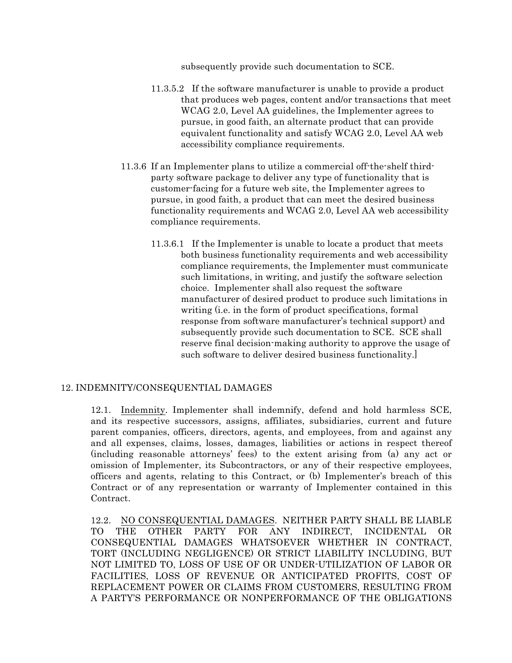subsequently provide such documentation to SCE.

- 11.3.5.2 If the software manufacturer is unable to provide a product that produces web pages, content and/or transactions that meet WCAG 2.0, Level AA guidelines, the Implementer agrees to pursue, in good faith, an alternate product that can provide equivalent functionality and satisfy WCAG 2.0, Level AA web accessibility compliance requirements.
- 11.3.6 If an Implementer plans to utilize a commercial off-the-shelf thirdparty software package to deliver any type of functionality that is customer-facing for a future web site, the Implementer agrees to pursue, in good faith, a product that can meet the desired business functionality requirements and WCAG 2.0, Level AA web accessibility compliance requirements.
	- 11.3.6.1 If the Implementer is unable to locate a product that meets both business functionality requirements and web accessibility compliance requirements, the Implementer must communicate such limitations, in writing, and justify the software selection choice. Implementer shall also request the software manufacturer of desired product to produce such limitations in writing (i.e. in the form of product specifications, formal response from software manufacturer's technical support) and subsequently provide such documentation to SCE. SCE shall reserve final decision-making authority to approve the usage of such software to deliver desired business functionality.]

#### 12. INDEMNITY/CONSEQUENTIAL DAMAGES

12.1. Indemnity. Implementer shall indemnify, defend and hold harmless SCE, and its respective successors, assigns, affiliates, subsidiaries, current and future parent companies, officers, directors, agents, and employees, from and against any and all expenses, claims, losses, damages, liabilities or actions in respect thereof (including reasonable attorneys' fees) to the extent arising from (a) any act or omission of Implementer, its Subcontractors, or any of their respective employees, officers and agents, relating to this Contract, or (b) Implementer's breach of this Contract or of any representation or warranty of Implementer contained in this Contract.

12.2. NO CONSEQUENTIAL DAMAGES. NEITHER PARTY SHALL BE LIABLE TO THE OTHER PARTY FOR ANY INDIRECT, INCIDENTAL OR CONSEQUENTIAL DAMAGES WHATSOEVER WHETHER IN CONTRACT, TORT (INCLUDING NEGLIGENCE) OR STRICT LIABILITY INCLUDING, BUT NOT LIMITED TO, LOSS OF USE OF OR UNDER-UTILIZATION OF LABOR OR FACILITIES, LOSS OF REVENUE OR ANTICIPATED PROFITS, COST OF REPLACEMENT POWER OR CLAIMS FROM CUSTOMERS, RESULTING FROM A PARTY'S PERFORMANCE OR NONPERFORMANCE OF THE OBLIGATIONS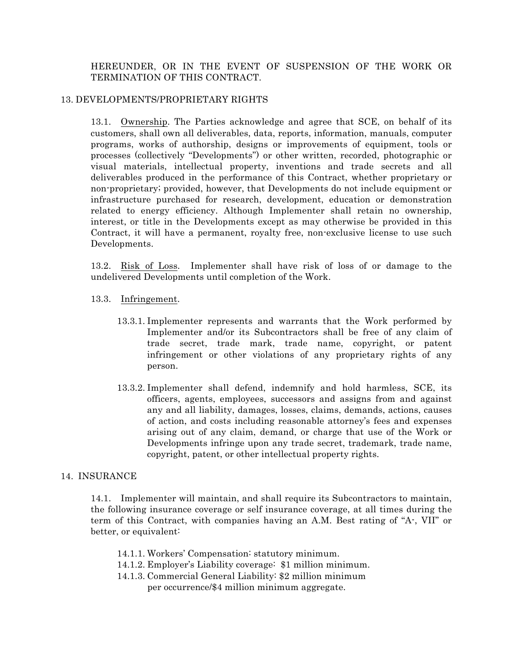## HEREUNDER, OR IN THE EVENT OF SUSPENSION OF THE WORK OR TERMINATION OF THIS CONTRACT.

#### 13. DEVELOPMENTS/PROPRIETARY RIGHTS

13.1. Ownership. The Parties acknowledge and agree that SCE, on behalf of its customers, shall own all deliverables, data, reports, information, manuals, computer programs, works of authorship, designs or improvements of equipment, tools or processes (collectively "Developments") or other written, recorded, photographic or visual materials, intellectual property, inventions and trade secrets and all deliverables produced in the performance of this Contract, whether proprietary or non-proprietary; provided, however, that Developments do not include equipment or infrastructure purchased for research, development, education or demonstration related to energy efficiency. Although Implementer shall retain no ownership, interest, or title in the Developments except as may otherwise be provided in this Contract, it will have a permanent, royalty free, non-exclusive license to use such Developments.

13.2. Risk of Loss. Implementer shall have risk of loss of or damage to the undelivered Developments until completion of the Work.

#### 13.3. Infringement.

- 13.3.1. Implementer represents and warrants that the Work performed by Implementer and/or its Subcontractors shall be free of any claim of trade secret, trade mark, trade name, copyright, or patent infringement or other violations of any proprietary rights of any person.
- 13.3.2. Implementer shall defend, indemnify and hold harmless, SCE, its officers, agents, employees, successors and assigns from and against any and all liability, damages, losses, claims, demands, actions, causes of action, and costs including reasonable attorney's fees and expenses arising out of any claim, demand, or charge that use of the Work or Developments infringe upon any trade secret, trademark, trade name, copyright, patent, or other intellectual property rights.

#### 14. INSURANCE

14.1. Implementer will maintain, and shall require its Subcontractors to maintain, the following insurance coverage or self insurance coverage, at all times during the term of this Contract, with companies having an A.M. Best rating of "A-, VII" or better, or equivalent:

- 14.1.1. Workers' Compensation: statutory minimum.
- 14.1.2. Employer's Liability coverage: \$1 million minimum.
- 14.1.3. Commercial General Liability: \$2 million minimum per occurrence/\$4 million minimum aggregate.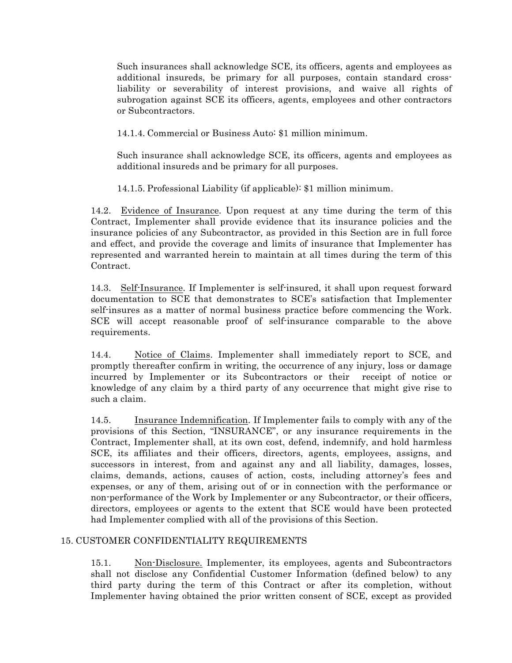Such insurances shall acknowledge SCE, its officers, agents and employees as additional insureds, be primary for all purposes, contain standard crossliability or severability of interest provisions, and waive all rights of subrogation against SCE its officers, agents, employees and other contractors or Subcontractors.

14.1.4. Commercial or Business Auto: \$1 million minimum.

Such insurance shall acknowledge SCE, its officers, agents and employees as additional insureds and be primary for all purposes.

14.1.5. Professional Liability (if applicable): \$1 million minimum.

14.2. Evidence of Insurance. Upon request at any time during the term of this Contract, Implementer shall provide evidence that its insurance policies and the insurance policies of any Subcontractor, as provided in this Section are in full force and effect, and provide the coverage and limits of insurance that Implementer has represented and warranted herein to maintain at all times during the term of this Contract.

14.3. Self-Insurance. If Implementer is self-insured, it shall upon request forward documentation to SCE that demonstrates to SCE's satisfaction that Implementer self-insures as a matter of normal business practice before commencing the Work. SCE will accept reasonable proof of self-insurance comparable to the above requirements.

14.4. Notice of Claims. Implementer shall immediately report to SCE, and promptly thereafter confirm in writing, the occurrence of any injury, loss or damage incurred by Implementer or its Subcontractors or their receipt of notice or knowledge of any claim by a third party of any occurrence that might give rise to such a claim.

14.5. Insurance Indemnification. If Implementer fails to comply with any of the provisions of this Section, "INSURANCE", or any insurance requirements in the Contract, Implementer shall, at its own cost, defend, indemnify, and hold harmless SCE, its affiliates and their officers, directors, agents, employees, assigns, and successors in interest, from and against any and all liability, damages, losses, claims, demands, actions, causes of action, costs, including attorney's fees and expenses, or any of them, arising out of or in connection with the performance or non-performance of the Work by Implementer or any Subcontractor, or their officers, directors, employees or agents to the extent that SCE would have been protected had Implementer complied with all of the provisions of this Section.

## 15. CUSTOMER CONFIDENTIALITY REQUIREMENTS

15.1. Non-Disclosure. Implementer, its employees, agents and Subcontractors shall not disclose any Confidential Customer Information (defined below) to any third party during the term of this Contract or after its completion, without Implementer having obtained the prior written consent of SCE, except as provided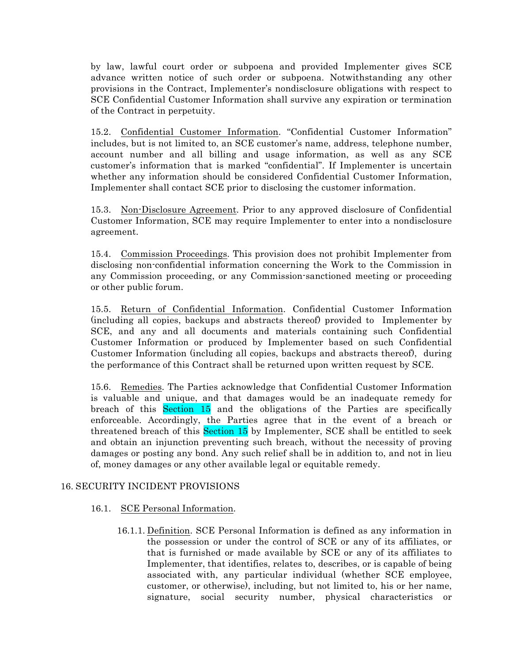by law, lawful court order or subpoena and provided Implementer gives SCE advance written notice of such order or subpoena. Notwithstanding any other provisions in the Contract, Implementer's nondisclosure obligations with respect to SCE Confidential Customer Information shall survive any expiration or termination of the Contract in perpetuity.

15.2. Confidential Customer Information. "Confidential Customer Information" includes, but is not limited to, an SCE customer's name, address, telephone number, account number and all billing and usage information, as well as any SCE customer's information that is marked "confidential". If Implementer is uncertain whether any information should be considered Confidential Customer Information, Implementer shall contact SCE prior to disclosing the customer information.

15.3. Non-Disclosure Agreement. Prior to any approved disclosure of Confidential Customer Information, SCE may require Implementer to enter into a nondisclosure agreement.

15.4. Commission Proceedings. This provision does not prohibit Implementer from disclosing non-confidential information concerning the Work to the Commission in any Commission proceeding, or any Commission-sanctioned meeting or proceeding or other public forum.

15.5. Return of Confidential Information. Confidential Customer Information (including all copies, backups and abstracts thereof) provided to Implementer by SCE, and any and all documents and materials containing such Confidential Customer Information or produced by Implementer based on such Confidential Customer Information (including all copies, backups and abstracts thereof), during the performance of this Contract shall be returned upon written request by SCE.

15.6. Remedies. The Parties acknowledge that Confidential Customer Information is valuable and unique, and that damages would be an inadequate remedy for breach of this Section 15 and the obligations of the Parties are specifically enforceable. Accordingly, the Parties agree that in the event of a breach or threatened breach of this Section 15 by Implementer, SCE shall be entitled to seek and obtain an injunction preventing such breach, without the necessity of proving damages or posting any bond. Any such relief shall be in addition to, and not in lieu of, money damages or any other available legal or equitable remedy.

## 16. SECURITY INCIDENT PROVISIONS

#### 16.1. SCE Personal Information.

16.1.1. Definition. SCE Personal Information is defined as any information in the possession or under the control of SCE or any of its affiliates, or that is furnished or made available by SCE or any of its affiliates to Implementer, that identifies, relates to, describes, or is capable of being associated with, any particular individual (whether SCE employee, customer, or otherwise), including, but not limited to, his or her name, signature, social security number, physical characteristics or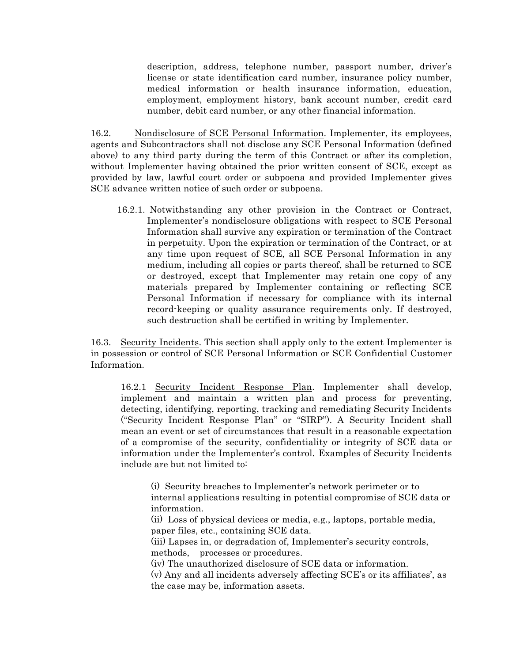description, address, telephone number, passport number, driver's license or state identification card number, insurance policy number, medical information or health insurance information, education, employment, employment history, bank account number, credit card number, debit card number, or any other financial information.

16.2. Nondisclosure of SCE Personal Information. Implementer, its employees, agents and Subcontractors shall not disclose any SCE Personal Information (defined above) to any third party during the term of this Contract or after its completion, without Implementer having obtained the prior written consent of SCE, except as provided by law, lawful court order or subpoena and provided Implementer gives SCE advance written notice of such order or subpoena.

16.2.1. Notwithstanding any other provision in the Contract or Contract, Implementer's nondisclosure obligations with respect to SCE Personal Information shall survive any expiration or termination of the Contract in perpetuity. Upon the expiration or termination of the Contract, or at any time upon request of SCE, all SCE Personal Information in any medium, including all copies or parts thereof, shall be returned to SCE or destroyed, except that Implementer may retain one copy of any materials prepared by Implementer containing or reflecting SCE Personal Information if necessary for compliance with its internal record-keeping or quality assurance requirements only. If destroyed, such destruction shall be certified in writing by Implementer.

16.3. Security Incidents. This section shall apply only to the extent Implementer is in possession or control of SCE Personal Information or SCE Confidential Customer Information.

16.2.1 Security Incident Response Plan. Implementer shall develop, implement and maintain a written plan and process for preventing, detecting, identifying, reporting, tracking and remediating Security Incidents ("Security Incident Response Plan" or "SIRP"). A Security Incident shall mean an event or set of circumstances that result in a reasonable expectation of a compromise of the security, confidentiality or integrity of SCE data or information under the Implementer's control. Examples of Security Incidents include are but not limited to:

(i) Security breaches to Implementer's network perimeter or to internal applications resulting in potential compromise of SCE data or information.

(ii) Loss of physical devices or media, e.g., laptops, portable media, paper files, etc., containing SCE data.

(iii) Lapses in, or degradation of, Implementer's security controls, methods, processes or procedures.

(iv) The unauthorized disclosure of SCE data or information.

(v) Any and all incidents adversely affecting SCE's or its affiliates', as the case may be, information assets.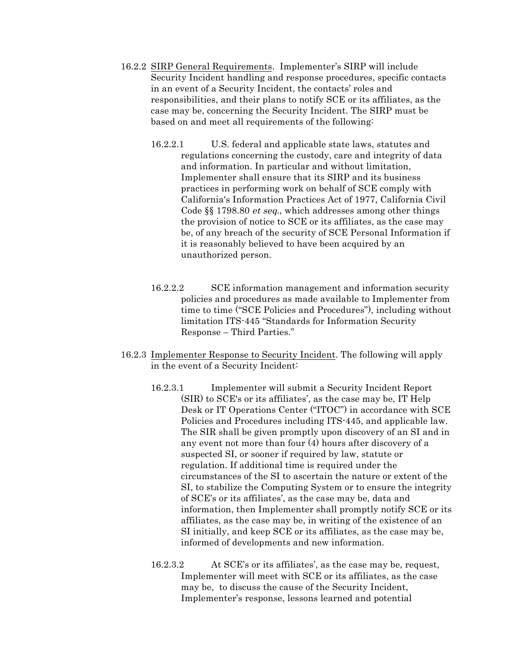- 16.2.2 SIRP General Requirements. Implementer's SIRP will include Security Incident handling and response procedures, specific contacts in an event of a Security Incident, the contacts' roles and responsibilities, and their plans to notify SCE or its affiliates, as the case may be, concerning the Security Incident. The SIRP must be based on and meet all requirements of the following:
	- 16.2.2.1 U.S. federal and applicable state laws, statutes and regulations concerning the custody, care and integrity of data and information. In particular and without limitation, Implementer shall ensure that its SIRP and its business practices in performing work on behalf of SCE comply with California's Information Practices Act of 1977, California Civil Code §§ 1798.80 et seq., which addresses among other things the provision of notice to SCE or its affiliates, as the case may be, of any breach of the security of SCE Personal Information if it is reasonably believed to have been acquired by an unauthorized person.
	- 16.2.2.2 SCE information management and information security policies and procedures as made available to Implementer from time to time ("SCE Policies and Procedures"), including without limitation ITS-445 "Standards for Information Security Response – Third Parties."
- 16.2.3 Implementer Response to Security Incident. The following will apply in the event of a Security Incident:
	- 16.2.3.1 Implementer will submit a Security Incident Report (SIR) to SCE's or its affiliates', as the case may be, IT Help Desk or IT Operations Center ("ITOC") in accordance with SCE Policies and Procedures including ITS-445, and applicable law. The SIR shall be given promptly upon discovery of an SI and in any event not more than four (4) hours after discovery of a suspected SI, or sooner if required by law, statute or regulation. If additional time is required under the circumstances of the SI to ascertain the nature or extent of the SI, to stabilize the Computing System or to ensure the integrity of SCE's or its affiliates', as the case may be, data and information, then Implementer shall promptly notify SCE or its affiliates, as the case may be, in writing of the existence of an SI initially, and keep SCE or its affiliates, as the case may be, informed of developments and new information.
	- 16.2.3.2 At SCE's or its affiliates', as the case may be, request, Implementer will meet with SCE or its affiliates, as the case may be, to discuss the cause of the Security Incident, Implementer's response, lessons learned and potential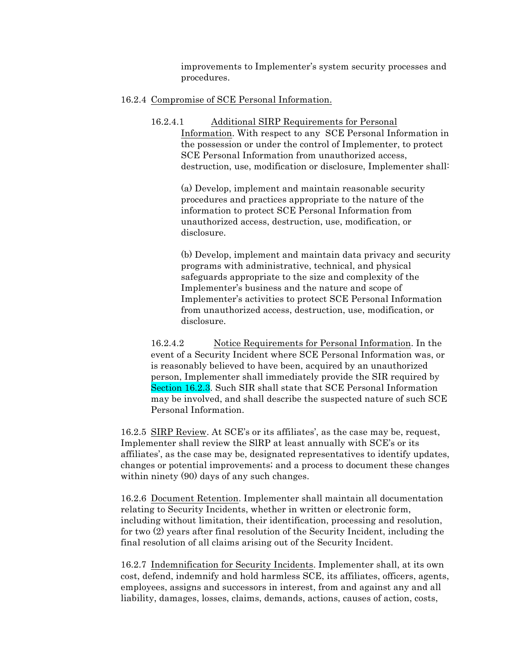improvements to Implementer's system security processes and procedures.

#### 16.2.4 Compromise of SCE Personal Information.

16.2.4.1 Additional SIRP Requirements for Personal Information. With respect to any SCE Personal Information in the possession or under the control of Implementer, to protect SCE Personal Information from unauthorized access, destruction, use, modification or disclosure, Implementer shall:

(a) Develop, implement and maintain reasonable security procedures and practices appropriate to the nature of the information to protect SCE Personal Information from unauthorized access, destruction, use, modification, or disclosure.

(b) Develop, implement and maintain data privacy and security programs with administrative, technical, and physical safeguards appropriate to the size and complexity of the Implementer's business and the nature and scope of Implementer's activities to protect SCE Personal Information from unauthorized access, destruction, use, modification, or disclosure.

16.2.4.2 Notice Requirements for Personal Information. In the event of a Security Incident where SCE Personal Information was, or is reasonably believed to have been, acquired by an unauthorized person, Implementer shall immediately provide the SIR required by Section 16.2.3. Such SIR shall state that SCE Personal Information may be involved, and shall describe the suspected nature of such SCE Personal Information.

16.2.5 SIRP Review. At SCE's or its affiliates', as the case may be, request, Implementer shall review the SlRP at least annually with SCE's or its affiliates', as the case may be, designated representatives to identify updates, changes or potential improvements; and a process to document these changes within ninety (90) days of any such changes.

16.2.6 Document Retention. Implementer shall maintain all documentation relating to Security Incidents, whether in written or electronic form, including without limitation, their identification, processing and resolution, for two (2) years after final resolution of the Security Incident, including the final resolution of all claims arising out of the Security Incident.

16.2.7 Indemnification for Security Incidents. Implementer shall, at its own cost, defend, indemnify and hold harmless SCE, its affiliates, officers, agents, employees, assigns and successors in interest, from and against any and all liability, damages, losses, claims, demands, actions, causes of action, costs,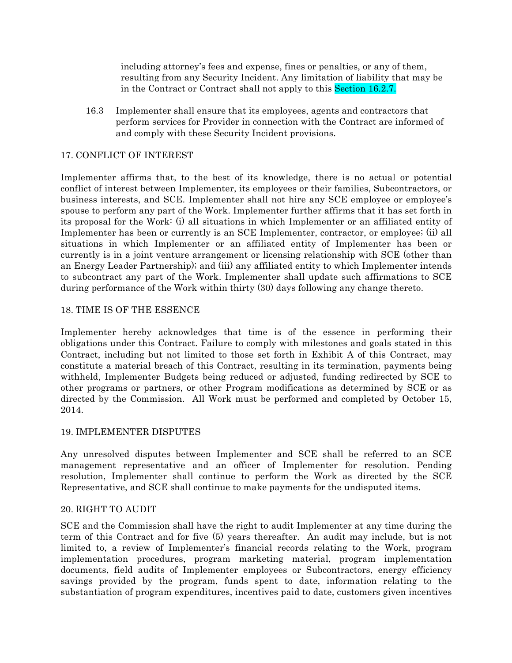including attorney's fees and expense, fines or penalties, or any of them, resulting from any Security Incident. Any limitation of liability that may be in the Contract or Contract shall not apply to this Section 16.2.7.

16.3 Implementer shall ensure that its employees, agents and contractors that perform services for Provider in connection with the Contract are informed of and comply with these Security Incident provisions.

#### 17. CONFLICT OF INTEREST

Implementer affirms that, to the best of its knowledge, there is no actual or potential conflict of interest between Implementer, its employees or their families, Subcontractors, or business interests, and SCE. Implementer shall not hire any SCE employee or employee's spouse to perform any part of the Work. Implementer further affirms that it has set forth in its proposal for the Work: (i) all situations in which Implementer or an affiliated entity of Implementer has been or currently is an SCE Implementer, contractor, or employee; (ii) all situations in which Implementer or an affiliated entity of Implementer has been or currently is in a joint venture arrangement or licensing relationship with SCE (other than an Energy Leader Partnership); and (iii) any affiliated entity to which Implementer intends to subcontract any part of the Work. Implementer shall update such affirmations to SCE during performance of the Work within thirty (30) days following any change thereto.

#### 18. TIME IS OF THE ESSENCE

Implementer hereby acknowledges that time is of the essence in performing their obligations under this Contract. Failure to comply with milestones and goals stated in this Contract, including but not limited to those set forth in Exhibit A of this Contract, may constitute a material breach of this Contract, resulting in its termination, payments being withheld, Implementer Budgets being reduced or adjusted, funding redirected by SCE to other programs or partners, or other Program modifications as determined by SCE or as directed by the Commission. All Work must be performed and completed by October 15, 2014.

#### 19. IMPLEMENTER DISPUTES

Any unresolved disputes between Implementer and SCE shall be referred to an SCE management representative and an officer of Implementer for resolution. Pending resolution, Implementer shall continue to perform the Work as directed by the SCE Representative, and SCE shall continue to make payments for the undisputed items.

#### 20. RIGHT TO AUDIT

SCE and the Commission shall have the right to audit Implementer at any time during the term of this Contract and for five (5) years thereafter. An audit may include, but is not limited to, a review of Implementer's financial records relating to the Work, program implementation procedures, program marketing material, program implementation documents, field audits of Implementer employees or Subcontractors, energy efficiency savings provided by the program, funds spent to date, information relating to the substantiation of program expenditures, incentives paid to date, customers given incentives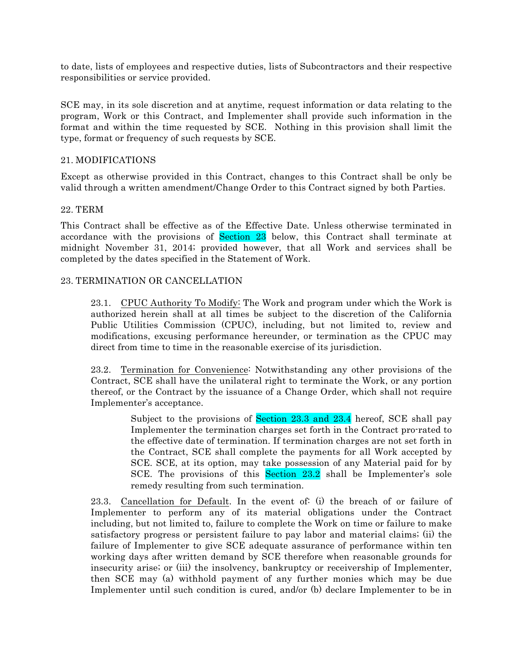to date, lists of employees and respective duties, lists of Subcontractors and their respective responsibilities or service provided.

SCE may, in its sole discretion and at anytime, request information or data relating to the program, Work or this Contract, and Implementer shall provide such information in the format and within the time requested by SCE. Nothing in this provision shall limit the type, format or frequency of such requests by SCE.

#### 21. MODIFICATIONS

Except as otherwise provided in this Contract, changes to this Contract shall be only be valid through a written amendment/Change Order to this Contract signed by both Parties.

#### 22. TERM

This Contract shall be effective as of the Effective Date. Unless otherwise terminated in accordance with the provisions of Section 23 below, this Contract shall terminate at midnight November 31, 2014; provided however, that all Work and services shall be completed by the dates specified in the Statement of Work.

#### 23. TERMINATION OR CANCELLATION

23.1. CPUC Authority To Modify: The Work and program under which the Work is authorized herein shall at all times be subject to the discretion of the California Public Utilities Commission (CPUC), including, but not limited to, review and modifications, excusing performance hereunder, or termination as the CPUC may direct from time to time in the reasonable exercise of its jurisdiction.

23.2. Termination for Convenience: Notwithstanding any other provisions of the Contract, SCE shall have the unilateral right to terminate the Work, or any portion thereof, or the Contract by the issuance of a Change Order, which shall not require Implementer's acceptance.

> Subject to the provisions of Section 23.3 and 23.4 hereof, SCE shall pay Implementer the termination charges set forth in the Contract pro-rated to the effective date of termination. If termination charges are not set forth in the Contract, SCE shall complete the payments for all Work accepted by SCE. SCE, at its option, may take possession of any Material paid for by SCE. The provisions of this Section 23.2 shall be Implementer's sole remedy resulting from such termination.

23.3. Cancellation for Default. In the event of: (i) the breach of or failure of Implementer to perform any of its material obligations under the Contract including, but not limited to, failure to complete the Work on time or failure to make satisfactory progress or persistent failure to pay labor and material claims; (ii) the failure of Implementer to give SCE adequate assurance of performance within ten working days after written demand by SCE therefore when reasonable grounds for insecurity arise; or (iii) the insolvency, bankruptcy or receivership of Implementer, then SCE may (a) withhold payment of any further monies which may be due Implementer until such condition is cured, and/or (b) declare Implementer to be in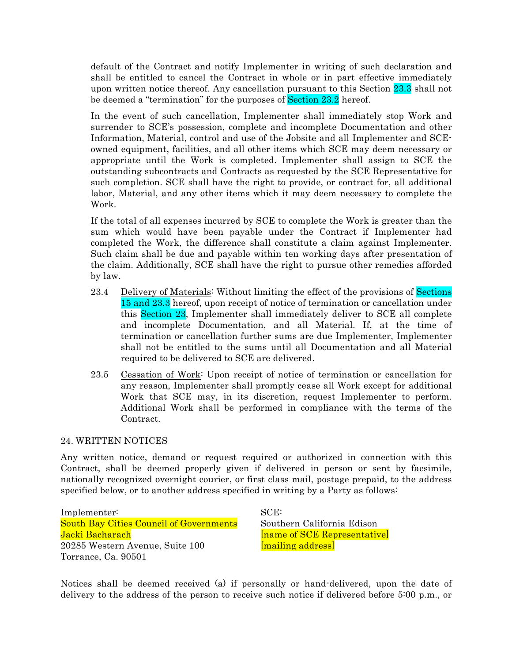default of the Contract and notify Implementer in writing of such declaration and shall be entitled to cancel the Contract in whole or in part effective immediately upon written notice thereof. Any cancellation pursuant to this Section 23.3 shall not be deemed a "termination" for the purposes of **Section 23.2** hereof.

In the event of such cancellation, Implementer shall immediately stop Work and surrender to SCE's possession, complete and incomplete Documentation and other Information, Material, control and use of the Jobsite and all Implementer and SCEowned equipment, facilities, and all other items which SCE may deem necessary or appropriate until the Work is completed. Implementer shall assign to SCE the outstanding subcontracts and Contracts as requested by the SCE Representative for such completion. SCE shall have the right to provide, or contract for, all additional labor, Material, and any other items which it may deem necessary to complete the Work.

If the total of all expenses incurred by SCE to complete the Work is greater than the sum which would have been payable under the Contract if Implementer had completed the Work, the difference shall constitute a claim against Implementer. Such claim shall be due and payable within ten working days after presentation of the claim. Additionally, SCE shall have the right to pursue other remedies afforded by law.

- 23.4 Delivery of Materials: Without limiting the effect of the provisions of Sections 15 and 23.3 hereof, upon receipt of notice of termination or cancellation under this Section 23, Implementer shall immediately deliver to SCE all complete and incomplete Documentation, and all Material. If, at the time of termination or cancellation further sums are due Implementer, Implementer shall not be entitled to the sums until all Documentation and all Material required to be delivered to SCE are delivered.
- 23.5 Cessation of Work: Upon receipt of notice of termination or cancellation for any reason, Implementer shall promptly cease all Work except for additional Work that SCE may, in its discretion, request Implementer to perform. Additional Work shall be performed in compliance with the terms of the Contract.

#### 24. WRITTEN NOTICES

Any written notice, demand or request required or authorized in connection with this Contract, shall be deemed properly given if delivered in person or sent by facsimile, nationally recognized overnight courier, or first class mail, postage prepaid, to the address specified below, or to another address specified in writing by a Party as follows:

Implementer: South Bay Cities Council of Governments Jacki Bacharach 20285 Western Avenue, Suite 100 Torrance, Ca. 90501

SCE: Southern California Edison [name of SCE Representative] [mailing address]

Notices shall be deemed received (a) if personally or hand-delivered, upon the date of delivery to the address of the person to receive such notice if delivered before 5:00 p.m., or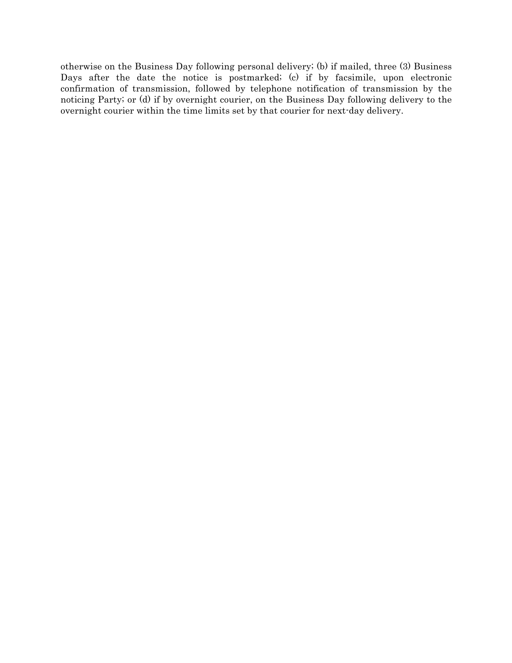otherwise on the Business Day following personal delivery; (b) if mailed, three (3) Business Days after the date the notice is postmarked; (c) if by facsimile, upon electronic confirmation of transmission, followed by telephone notification of transmission by the noticing Party; or (d) if by overnight courier, on the Business Day following delivery to the overnight courier within the time limits set by that courier for next-day delivery.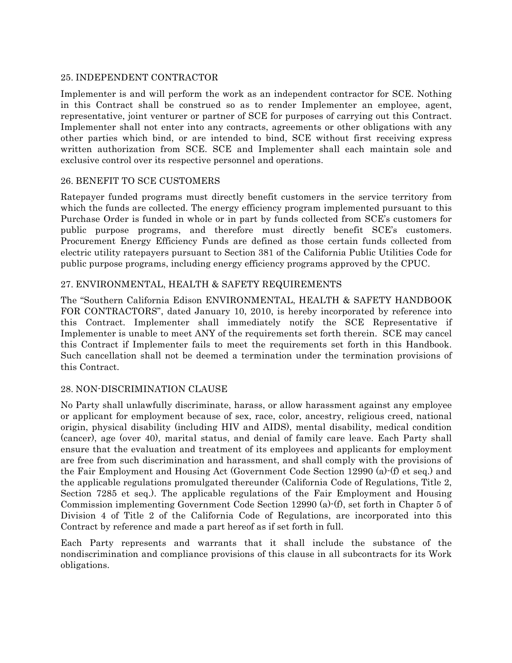## 25. INDEPENDENT CONTRACTOR

Implementer is and will perform the work as an independent contractor for SCE. Nothing in this Contract shall be construed so as to render Implementer an employee, agent, representative, joint venturer or partner of SCE for purposes of carrying out this Contract. Implementer shall not enter into any contracts, agreements or other obligations with any other parties which bind, or are intended to bind, SCE without first receiving express written authorization from SCE. SCE and Implementer shall each maintain sole and exclusive control over its respective personnel and operations.

#### 26. BENEFIT TO SCE CUSTOMERS

Ratepayer funded programs must directly benefit customers in the service territory from which the funds are collected. The energy efficiency program implemented pursuant to this Purchase Order is funded in whole or in part by funds collected from SCE's customers for public purpose programs, and therefore must directly benefit SCE's customers. Procurement Energy Efficiency Funds are defined as those certain funds collected from electric utility ratepayers pursuant to Section 381 of the California Public Utilities Code for public purpose programs, including energy efficiency programs approved by the CPUC.

## 27. ENVIRONMENTAL, HEALTH & SAFETY REQUIREMENTS

The "Southern California Edison ENVIRONMENTAL, HEALTH & SAFETY HANDBOOK FOR CONTRACTORS", dated January 10, 2010, is hereby incorporated by reference into this Contract. Implementer shall immediately notify the SCE Representative if Implementer is unable to meet ANY of the requirements set forth therein. SCE may cancel this Contract if Implementer fails to meet the requirements set forth in this Handbook. Such cancellation shall not be deemed a termination under the termination provisions of this Contract.

## 28. NON-DISCRIMINATION CLAUSE

No Party shall unlawfully discriminate, harass, or allow harassment against any employee or applicant for employment because of sex, race, color, ancestry, religious creed, national origin, physical disability (including HIV and AIDS), mental disability, medical condition (cancer), age (over 40), marital status, and denial of family care leave. Each Party shall ensure that the evaluation and treatment of its employees and applicants for employment are free from such discrimination and harassment, and shall comply with the provisions of the Fair Employment and Housing Act (Government Code Section 12990 (a)-(f) et seq.) and the applicable regulations promulgated thereunder (California Code of Regulations, Title 2, Section 7285 et seq.). The applicable regulations of the Fair Employment and Housing Commission implementing Government Code Section 12990 (a)-(f), set forth in Chapter 5 of Division 4 of Title 2 of the California Code of Regulations, are incorporated into this Contract by reference and made a part hereof as if set forth in full.

Each Party represents and warrants that it shall include the substance of the nondiscrimination and compliance provisions of this clause in all subcontracts for its Work obligations.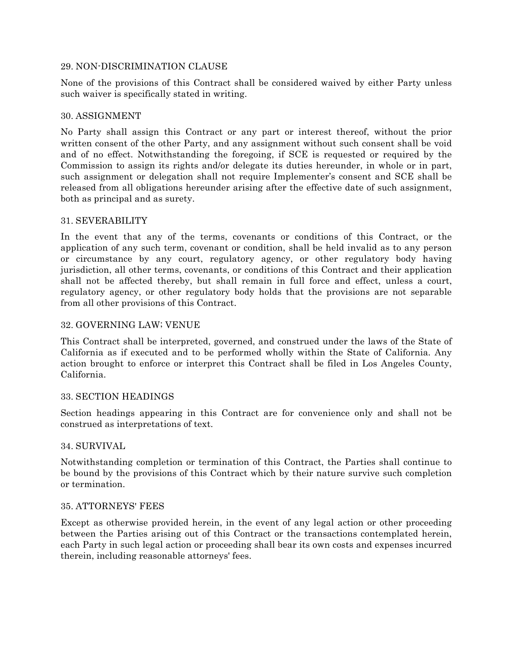#### 29. NON-DISCRIMINATION CLAUSE

None of the provisions of this Contract shall be considered waived by either Party unless such waiver is specifically stated in writing.

#### 30. ASSIGNMENT

No Party shall assign this Contract or any part or interest thereof, without the prior written consent of the other Party, and any assignment without such consent shall be void and of no effect. Notwithstanding the foregoing, if SCE is requested or required by the Commission to assign its rights and/or delegate its duties hereunder, in whole or in part, such assignment or delegation shall not require Implementer's consent and SCE shall be released from all obligations hereunder arising after the effective date of such assignment, both as principal and as surety.

#### 31. SEVERABILITY

In the event that any of the terms, covenants or conditions of this Contract, or the application of any such term, covenant or condition, shall be held invalid as to any person or circumstance by any court, regulatory agency, or other regulatory body having jurisdiction, all other terms, covenants, or conditions of this Contract and their application shall not be affected thereby, but shall remain in full force and effect, unless a court, regulatory agency, or other regulatory body holds that the provisions are not separable from all other provisions of this Contract.

#### 32. GOVERNING LAW; VENUE

This Contract shall be interpreted, governed, and construed under the laws of the State of California as if executed and to be performed wholly within the State of California. Any action brought to enforce or interpret this Contract shall be filed in Los Angeles County, California.

#### 33. SECTION HEADINGS

Section headings appearing in this Contract are for convenience only and shall not be construed as interpretations of text.

#### 34. SURVIVAL

Notwithstanding completion or termination of this Contract, the Parties shall continue to be bound by the provisions of this Contract which by their nature survive such completion or termination.

#### 35. ATTORNEYS' FEES

Except as otherwise provided herein, in the event of any legal action or other proceeding between the Parties arising out of this Contract or the transactions contemplated herein, each Party in such legal action or proceeding shall bear its own costs and expenses incurred therein, including reasonable attorneys' fees.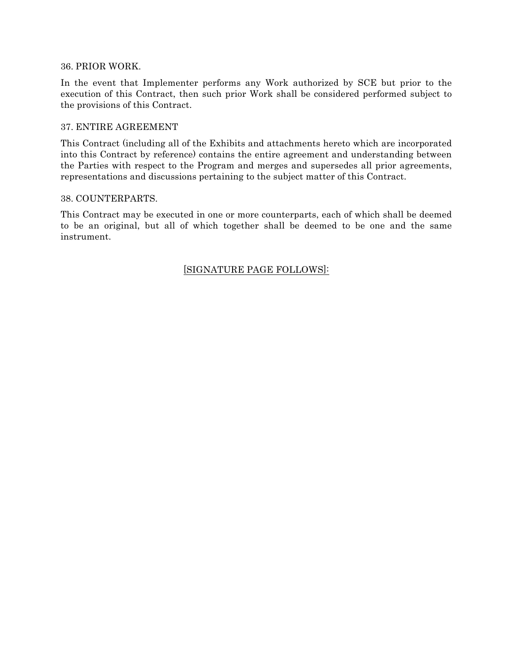#### 36. PRIOR WORK.

In the event that Implementer performs any Work authorized by SCE but prior to the execution of this Contract, then such prior Work shall be considered performed subject to the provisions of this Contract.

#### 37. ENTIRE AGREEMENT

This Contract (including all of the Exhibits and attachments hereto which are incorporated into this Contract by reference) contains the entire agreement and understanding between the Parties with respect to the Program and merges and supersedes all prior agreements, representations and discussions pertaining to the subject matter of this Contract.

#### 38. COUNTERPARTS.

This Contract may be executed in one or more counterparts, each of which shall be deemed to be an original, but all of which together shall be deemed to be one and the same instrument.

## [SIGNATURE PAGE FOLLOWS]: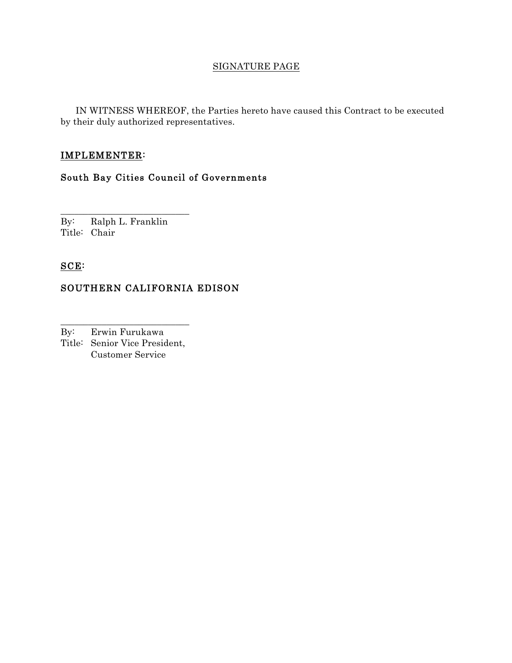## SIGNATURE PAGE

IN WITNESS WHEREOF, the Parties hereto have caused this Contract to be executed by their duly authorized representatives.

## IMPLEMENTER:

## South Bay Cities Council of Governments

By: Ralph L. Franklin Title: Chair

\_\_\_\_\_\_\_\_\_\_\_\_\_\_\_\_\_\_\_\_\_\_\_\_\_\_\_\_

## SCE:

## SOUTHERN CALIFORNIA EDISON

By: Erwin Furukawa

Title: Senior Vice President, Customer Service

\_\_\_\_\_\_\_\_\_\_\_\_\_\_\_\_\_\_\_\_\_\_\_\_\_\_\_\_